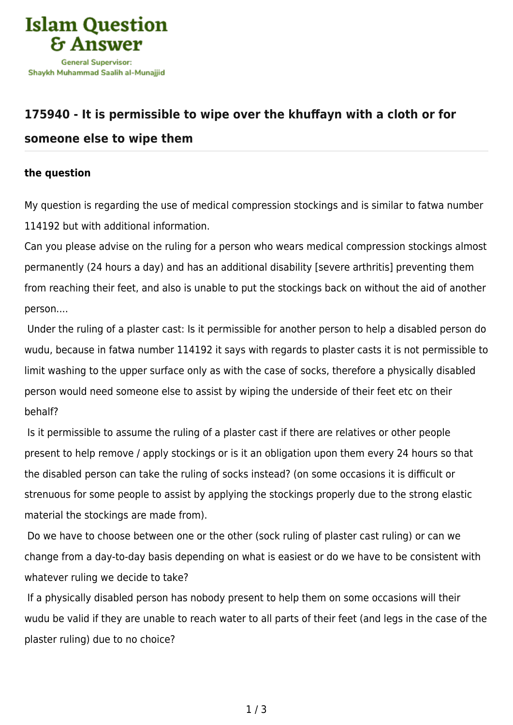

## **[175940 - It is permissible to wipe over the khuffayn with a cloth or for](https://islamqa.com/en/answers/175940/it-is-permissible-to-wipe-over-the-khuffayn-with-a-cloth-or-for-someone-else-to-wipe-them) [someone else to wipe them](https://islamqa.com/en/answers/175940/it-is-permissible-to-wipe-over-the-khuffayn-with-a-cloth-or-for-someone-else-to-wipe-them)**

## **the question**

My question is regarding the use of medical compression stockings and is similar to fatwa number 114192 but with additional information.

Can you please advise on the ruling for a person who wears medical compression stockings almost permanently (24 hours a day) and has an additional disability [severe arthritis] preventing them from reaching their feet, and also is unable to put the stockings back on without the aid of another person....

 Under the ruling of a plaster cast: Is it permissible for another person to help a disabled person do wudu, because in fatwa number 114192 it says with regards to plaster casts it is not permissible to limit washing to the upper surface only as with the case of socks, therefore a physically disabled person would need someone else to assist by wiping the underside of their feet etc on their behalf?

 Is it permissible to assume the ruling of a plaster cast if there are relatives or other people present to help remove / apply stockings or is it an obligation upon them every 24 hours so that the disabled person can take the ruling of socks instead? (on some occasions it is difficult or strenuous for some people to assist by applying the stockings properly due to the strong elastic material the stockings are made from).

 Do we have to choose between one or the other (sock ruling of plaster cast ruling) or can we change from a day-to-day basis depending on what is easiest or do we have to be consistent with whatever ruling we decide to take?

 If a physically disabled person has nobody present to help them on some occasions will their wudu be valid if they are unable to reach water to all parts of their feet (and legs in the case of the plaster ruling) due to no choice?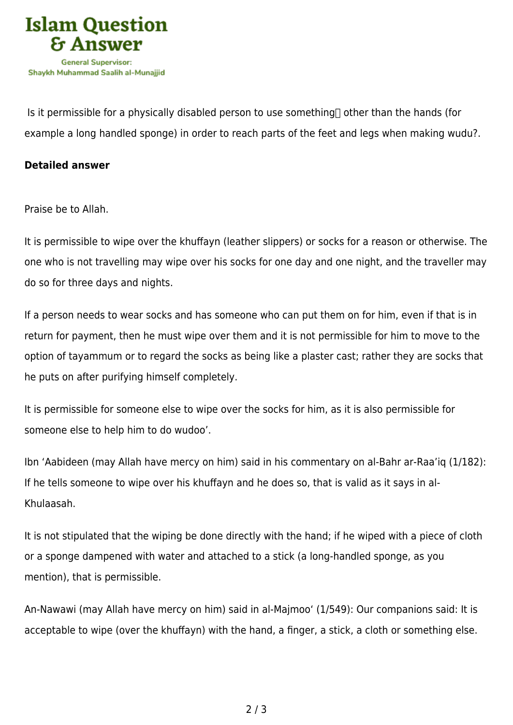

Is it permissible for a physically disabled person to use something  $\Box$  other than the hands (for example a long handled sponge) in order to reach parts of the feet and legs when making wudu?.

## **Detailed answer**

Praise be to Allah.

It is permissible to wipe over the khuffayn (leather slippers) or socks for a reason or otherwise. The one who is not travelling may wipe over his socks for one day and one night, and the traveller may do so for three days and nights.

If a person needs to wear socks and has someone who can put them on for him, even if that is in return for payment, then he must wipe over them and it is not permissible for him to move to the option of tayammum or to regard the socks as being like a plaster cast; rather they are socks that he puts on after purifying himself completely.

It is permissible for someone else to wipe over the socks for him, as it is also permissible for someone else to help him to do wudoo'.

Ibn 'Aabideen (may Allah have mercy on him) said in his commentary on al-Bahr ar-Raa'iq (1/182): If he tells someone to wipe over his khuffayn and he does so, that is valid as it says in al-Khulaasah.

It is not stipulated that the wiping be done directly with the hand; if he wiped with a piece of cloth or a sponge dampened with water and attached to a stick (a long-handled sponge, as you mention), that is permissible.

An-Nawawi (may Allah have mercy on him) said in al-Majmoo' (1/549): Our companions said: It is acceptable to wipe (over the khuffayn) with the hand, a finger, a stick, a cloth or something else.